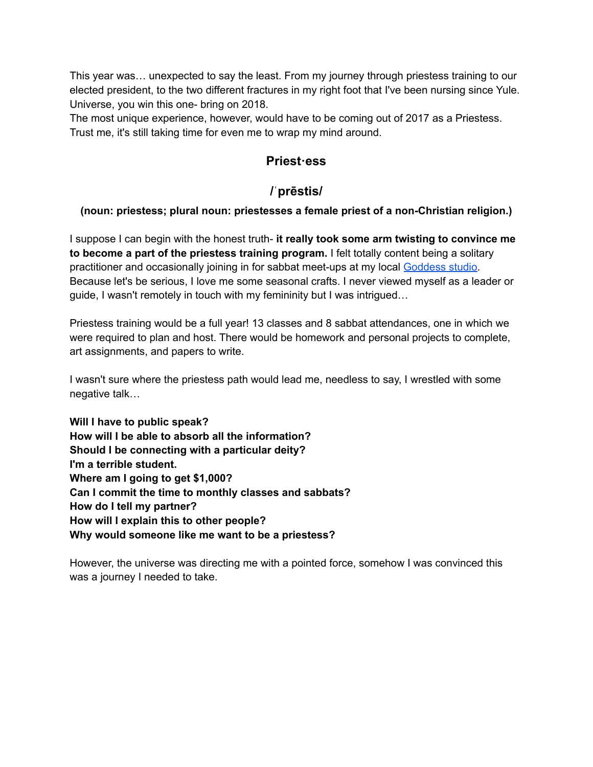This year was… unexpected to say the least. From my journey through priestess training to our elected president, to the two different fractures in my right foot that I've been nursing since Yule. Universe, you win this one- bring on 2018.

The most unique experience, however, would have to be coming out of 2017 as a Priestess. Trust me, it's still taking time for even me to wrap my mind around.

## **Priest·ess**

## **/ˈprēstis/**

## **(noun: priestess; plural noun: priestesses a female priest of a non-Christian religion.)**

I suppose I can begin with the honest truth- **it really took some arm twisting to convince me to become a part of the priestess training program.** I felt totally content being a solitary practitioner and occasionally joining in for sabbat meet-ups at my local [Goddess](http://www.meetup.com/goddess-studio/) studio. Because let's be serious, I love me some seasonal crafts. I never viewed myself as a leader or guide, I wasn't remotely in touch with my femininity but I was intrigued…

Priestess training would be a full year! 13 classes and 8 sabbat attendances, one in which we were required to plan and host. There would be homework and personal projects to complete, art assignments, and papers to write.

I wasn't sure where the priestess path would lead me, needless to say, I wrestled with some negative talk…

**Will I have to public speak? How will I be able to absorb all the information? Should I be connecting with a particular deity? I'm a terrible student. Where am I going to get \$1,000? Can I commit the time to monthly classes and sabbats? How do I tell my partner? How will I explain this to other people? Why would someone like me want to be a priestess?**

However, the universe was directing me with a pointed force, somehow I was convinced this was a journey I needed to take.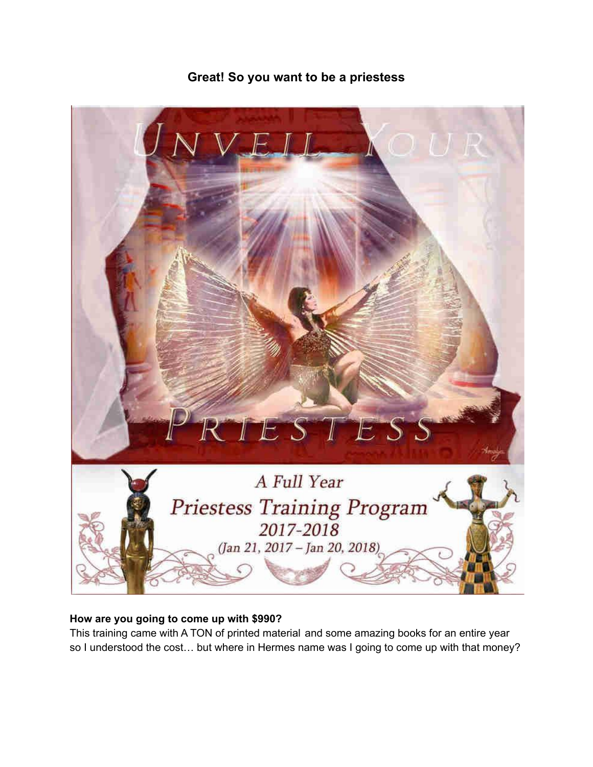

# **Great! So you want to be a priestess**

#### **How are you going to come up with \$990?**

This training came with A TON of printed material and some amazing books for an entire year so I understood the cost… but where in Hermes name was I going to come up with that money?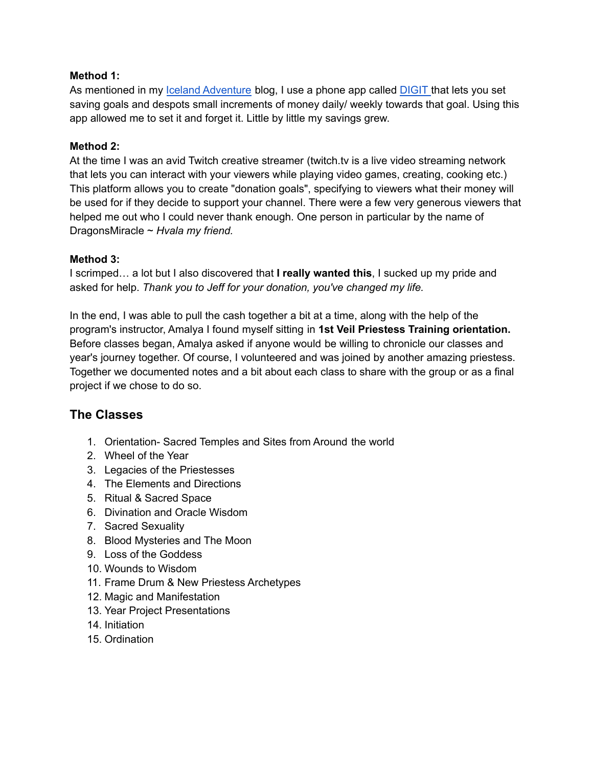#### **Method 1:**

As mentioned in my *Iceland [Adventure](http://www.broomclosetartistry.com/single-post/2017/12/18/Iceland-adventure-travel-journal-entry-1)* blog, I use a phone app called **[DIGIT](http://digit.co/)** that lets you set saving goals and despots small increments of money daily/ weekly towards that goal. Using this app allowed me to set it and forget it. Little by little my savings grew.

#### **Method 2:**

At the time I was an avid Twitch creative streamer (twitch.tv is a live video streaming network that lets you can interact with your viewers while playing video games, creating, cooking etc.) This platform allows you to create "donation goals", specifying to viewers what their money will be used for if they decide to support your channel. There were a few very generous viewers that helped me out who I could never thank enough. One person in particular by the name of DragonsMiracle ~ *Hvala my friend.*

#### **Method 3:**

I scrimped… a lot but I also discovered that **I really wanted this**, I sucked up my pride and asked for help. *Thank you to Jeff for your donation, you've changed my life.*

In the end, I was able to pull the cash together a bit at a time, along with the help of the program's instructor, Amalya I found myself sitting in **1st Veil Priestess Training orientation.** Before classes began, Amalya asked if anyone would be willing to chronicle our classes and year's journey together. Of course, I volunteered and was joined by another amazing priestess. Together we documented notes and a bit about each class to share with the group or as a final project if we chose to do so.

## **The Classes**

- 1. Orientation- Sacred Temples and Sites from Around the world
- 2. Wheel of the Year
- 3. Legacies of the Priestesses
- 4. The Elements and Directions
- 5. Ritual & Sacred Space
- 6. Divination and Oracle Wisdom
- 7. Sacred Sexuality
- 8. Blood Mysteries and The Moon
- 9. Loss of the Goddess
- 10. Wounds to Wisdom
- 11. Frame Drum & New Priestess Archetypes
- 12. Magic and Manifestation
- 13. Year Project Presentations
- 14. Initiation
- 15. Ordination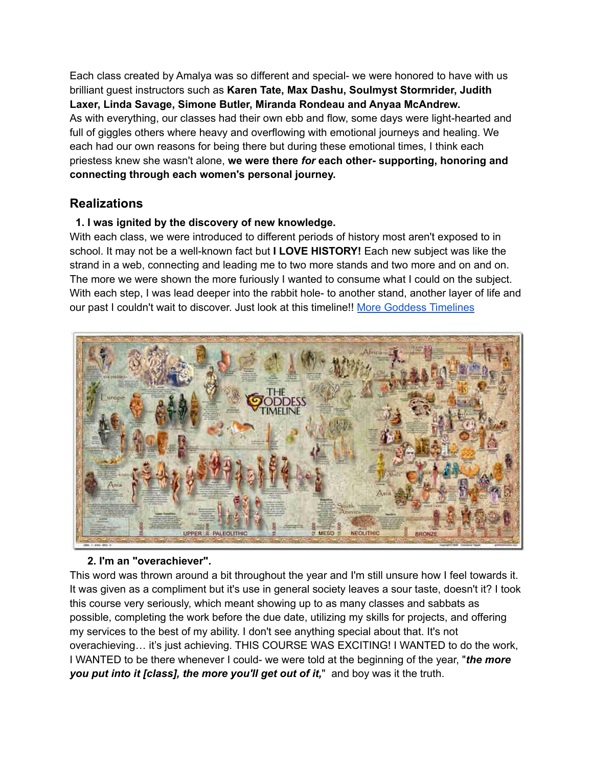Each class created by Amalya was so different and special- we were honored to have with us brilliant guest instructors such as **Karen Tate, Max Dashu, Soulmyst Stormrider, Judith Laxer, Linda Savage, Simone Butler, Miranda Rondeau and Anyaa McAndrew.** As with everything, our classes had their own ebb and flow, some days were light-hearted and full of giggles others where heavy and overflowing with emotional journeys and healing. We each had our own reasons for being there but during these emotional times, I think each priestess knew she wasn't alone, **we were there** *for* **each other- supporting, honoring and connecting through each women's personal journey.**

## **Realizations**

### **1. I was ignited by the discovery of new knowledge.**

With each class, we were introduced to different periods of history most aren't exposed to in school. It may not be a well-known fact but **I LOVE HISTORY!** Each new subject was like the strand in a web, connecting and leading me to two more stands and two more and on and on. The more we were shown the more furiously I wanted to consume what I could on the subject. With each step, I was lead deeper into the rabbit hole- to another stand, another layer of life and our past I couldn't wait to discover. Just look at this timeline!! More Goddess [Timelines](http://goddesstimeline.com/)



### **2. I'm an "overachiever".**

This word was thrown around a bit throughout the year and I'm still unsure how I feel towards it. It was given as a compliment but it's use in general society leaves a sour taste, doesn't it? I took this course very seriously, which meant showing up to as many classes and sabbats as possible, completing the work before the due date, utilizing my skills for projects, and offering my services to the best of my ability. I don't see anything special about that. It's not overachieving… it's just achieving. THIS COURSE WAS EXCITING! I WANTED to do the work, I WANTED to be there whenever I could- we were told at the beginning of the year, "*the more you put into it [class], the more you'll get out of it,*" and boy was it the truth.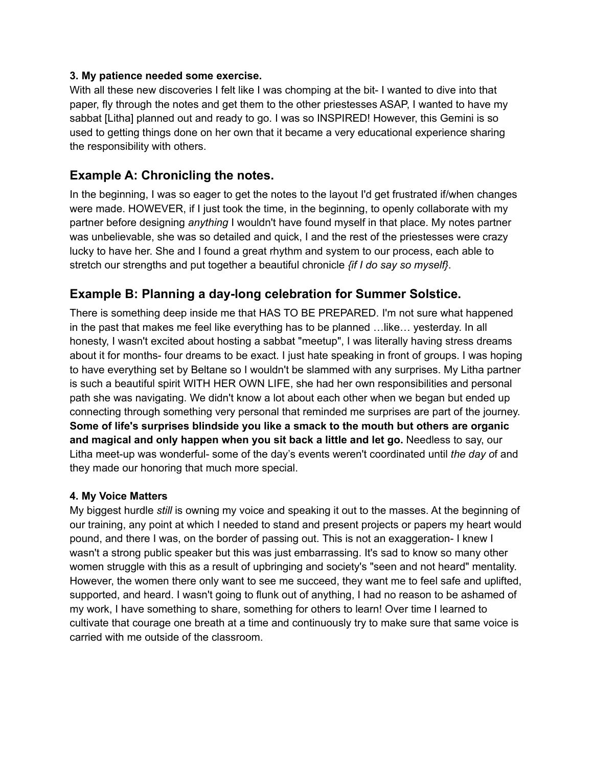#### **3. My patience needed some exercise.**

With all these new discoveries I felt like I was chomping at the bit- I wanted to dive into that paper, fly through the notes and get them to the other priestesses ASAP, I wanted to have my sabbat [Litha] planned out and ready to go. I was so INSPIRED! However, this Gemini is so used to getting things done on her own that it became a very educational experience sharing the responsibility with others.

## **Example A: Chronicling the notes.**

In the beginning, I was so eager to get the notes to the layout I'd get frustrated if/when changes were made. HOWEVER, if I just took the time, in the beginning, to openly collaborate with my partner before designing *anything* I wouldn't have found myself in that place. My notes partner was unbelievable, she was so detailed and quick, I and the rest of the priestesses were crazy lucky to have her. She and I found a great rhythm and system to our process, each able to stretch our strengths and put together a beautiful chronicle *{if I do say so myself}*.

## **Example B: Planning a day-long celebration for Summer Solstice.**

There is something deep inside me that HAS TO BE PREPARED. I'm not sure what happened in the past that makes me feel like everything has to be planned …like… yesterday. In all honesty, I wasn't excited about hosting a sabbat "meetup", I was literally having stress dreams about it for months- four dreams to be exact. I just hate speaking in front of groups. I was hoping to have everything set by Beltane so I wouldn't be slammed with any surprises. My Litha partner is such a beautiful spirit WITH HER OWN LIFE, she had her own responsibilities and personal path she was navigating. We didn't know a lot about each other when we began but ended up connecting through something very personal that reminded me surprises are part of the journey. **Some of life's surprises blindside you like a smack to the mouth but others are organic and magical and only happen when you sit back a little and let go.** Needless to say, our Litha meet-up was wonderful- some of the day's events weren't coordinated until *the day o*f and they made our honoring that much more special.

### **4. My Voice Matters**

My biggest hurdle *still* is owning my voice and speaking it out to the masses. At the beginning of our training, any point at which I needed to stand and present projects or papers my heart would pound, and there I was, on the border of passing out. This is not an exaggeration- I knew I wasn't a strong public speaker but this was just embarrassing. It's sad to know so many other women struggle with this as a result of upbringing and society's "seen and not heard" mentality. However, the women there only want to see me succeed, they want me to feel safe and uplifted, supported, and heard. I wasn't going to flunk out of anything, I had no reason to be ashamed of my work, I have something to share, something for others to learn! Over time I learned to cultivate that courage one breath at a time and continuously try to make sure that same voice is carried with me outside of the classroom.